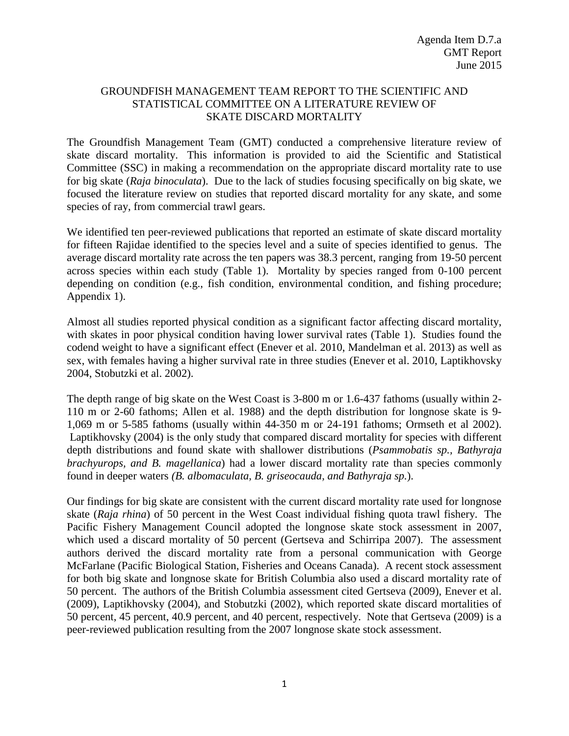### GROUNDFISH MANAGEMENT TEAM REPORT TO THE SCIENTIFIC AND STATISTICAL COMMITTEE ON A LITERATURE REVIEW OF SKATE DISCARD MORTALITY

The Groundfish Management Team (GMT) conducted a comprehensive literature review of skate discard mortality. This information is provided to aid the Scientific and Statistical Committee (SSC) in making a recommendation on the appropriate discard mortality rate to use for big skate (*Raja binoculata*). Due to the lack of studies focusing specifically on big skate, we focused the literature review on studies that reported discard mortality for any skate, and some species of ray, from commercial trawl gears.

We identified ten peer-reviewed publications that reported an estimate of skate discard mortality for fifteen Rajidae identified to the species level and a suite of species identified to genus. The average discard mortality rate across the ten papers was 38.3 percent, ranging from 19-50 percent across species within each study [\(Table 1\)](#page-2-0). Mortality by species ranged from 0-100 percent depending on condition (e.g., fish condition, environmental condition, and fishing procedure; Appendix 1).

Almost all studies reported physical condition as a significant factor affecting discard mortality, with skates in poor physical condition having lower survival rates [\(Table 1\)](#page-2-0). Studies found the codend weight to have a significant effect (Enever et al. 2010, Mandelman et al. 2013) as well as sex, with females having a higher survival rate in three studies (Enever et al. 2010, Laptikhovsky 2004, Stobutzki et al. 2002).

The depth range of big skate on the West Coast is 3-800 m or 1.6-437 fathoms (usually within 2- 110 m or 2-60 fathoms; Allen et al. 1988) and the depth distribution for longnose skate is 9- 1,069 m or 5-585 fathoms (usually within 44-350 m or 24-191 fathoms; Ormseth et al 2002). Laptikhovsky (2004) is the only study that compared discard mortality for species with different depth distributions and found skate with shallower distributions (*Psammobatis sp., Bathyraja brachyurops, and B. magellanica*) had a lower discard mortality rate than species commonly found in deeper waters *(B. albomaculata, B. griseocauda, and Bathyraja sp.*).

Our findings for big skate are consistent with the current discard mortality rate used for longnose skate (*Raja rhina*) of 50 percent in the West Coast individual fishing quota trawl fishery. The Pacific Fishery Management Council adopted the longnose skate stock assessment in 2007, which used a discard mortality of 50 percent (Gertseva and Schirripa 2007). The assessment authors derived the discard mortality rate from a personal communication with George McFarlane (Pacific Biological Station, Fisheries and Oceans Canada). A recent stock assessment for both big skate and longnose skate for British Columbia also used a discard mortality rate of 50 percent. The authors of the British Columbia assessment cited Gertseva (2009), Enever et al. (2009), Laptikhovsky (2004), and Stobutzki (2002), which reported skate discard mortalities of 50 percent, 45 percent, 40.9 percent, and 40 percent, respectively. Note that Gertseva (2009) is a peer-reviewed publication resulting from the 2007 longnose skate stock assessment.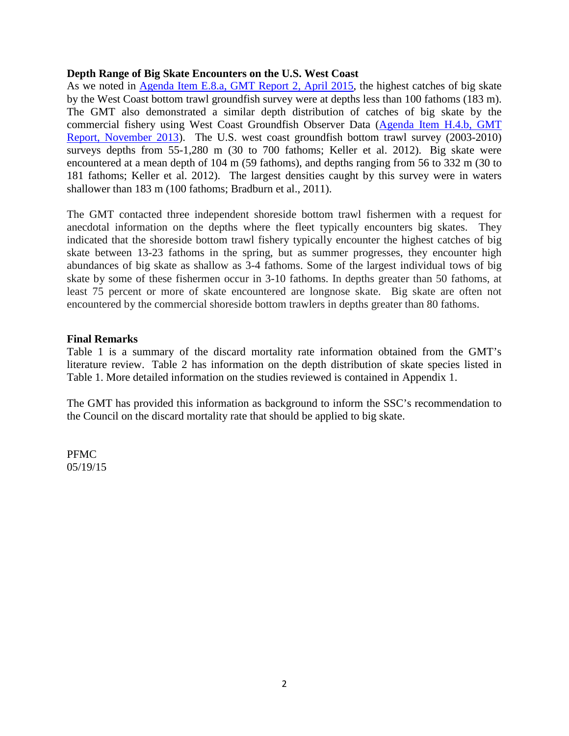#### **Depth Range of Big Skate Encounters on the U.S. West Coast**

As we noted in **Agenda Item E.8.a, GMT Report 2, April 2015**, the highest catches of big skate by the West Coast bottom trawl groundfish survey were at depths less than 100 fathoms (183 m). The GMT also demonstrated a similar depth distribution of catches of big skate by the commercial fishery using West Coast Groundfish Observer Data [\(Agenda Item H.4.b,](http://www.pcouncil.org/wp-content/uploads/H4b_GMT_StockComplexes_NOV2013BB.pdf) GMT [Report, November 2013\)](http://www.pcouncil.org/wp-content/uploads/H4b_GMT_StockComplexes_NOV2013BB.pdf). The U.S. west coast groundfish bottom trawl survey (2003-2010) surveys depths from 55-1,280 m (30 to 700 fathoms; Keller et al. 2012). Big skate were encountered at a mean depth of 104 m (59 fathoms), and depths ranging from 56 to 332 m (30 to 181 fathoms; Keller et al. 2012). The largest densities caught by this survey were in waters shallower than 183 m (100 fathoms; Bradburn et al., 2011).

The GMT contacted three independent shoreside bottom trawl fishermen with a request for anecdotal information on the depths where the fleet typically encounters big skates. They indicated that the shoreside bottom trawl fishery typically encounter the highest catches of big skate between 13-23 fathoms in the spring, but as summer progresses, they encounter high abundances of big skate as shallow as 3-4 fathoms. Some of the largest individual tows of big skate by some of these fishermen occur in 3-10 fathoms. In depths greater than 50 fathoms, at least 75 percent or more of skate encountered are longnose skate. Big skate are often not encountered by the commercial shoreside bottom trawlers in depths greater than 80 fathoms.

#### **Final Remarks**

[Table 1](#page-2-0) is a summary of the discard mortality rate information obtained from the GMT's literature review. [Table 2](#page-3-0) has information on the depth distribution of skate species listed in [Table 1.](#page-2-0) More detailed information on the studies reviewed is contained in Appendix 1.

The GMT has provided this information as background to inform the SSC's recommendation to the Council on the discard mortality rate that should be applied to big skate.

PFMC 05/19/15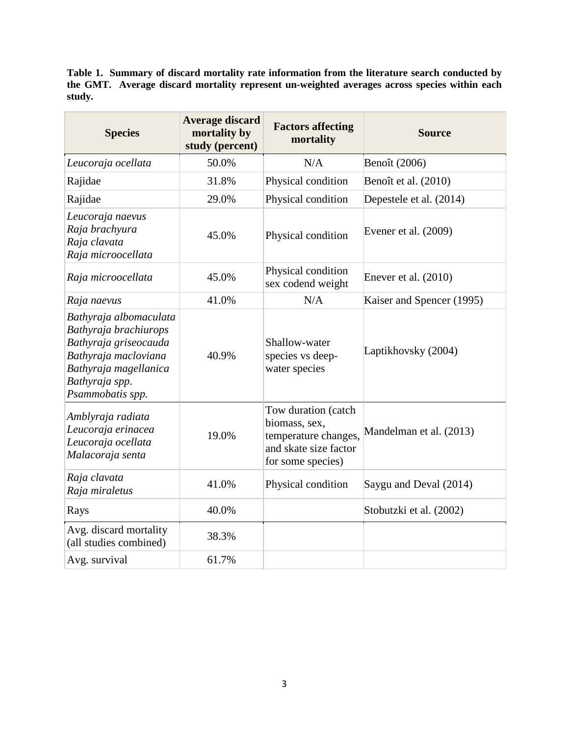<span id="page-2-0"></span>**Table 1. Summary of discard mortality rate information from the literature search conducted by the GMT. Average discard mortality represent un-weighted averages across species within each study.** 

| <b>Species</b>                                                                                                                                                  | <b>Average discard</b><br>mortality by<br>study (percent) | <b>Factors affecting</b><br>mortality                                                                      | <b>Source</b>             |
|-----------------------------------------------------------------------------------------------------------------------------------------------------------------|-----------------------------------------------------------|------------------------------------------------------------------------------------------------------------|---------------------------|
| Leucoraja ocellata                                                                                                                                              | 50.0%                                                     | N/A                                                                                                        | Benoît (2006)             |
| Rajidae                                                                                                                                                         | 31.8%                                                     | Physical condition                                                                                         | Benoît et al. (2010)      |
| Rajidae                                                                                                                                                         | 29.0%                                                     | Physical condition                                                                                         | Depestele et al. (2014)   |
| Leucoraja naevus<br>Raja brachyura<br>Raja clavata<br>Raja microocellata                                                                                        | 45.0%                                                     | Physical condition                                                                                         | Evener et al. $(2009)$    |
| Raja microocellata                                                                                                                                              | 45.0%                                                     | Physical condition<br>sex codend weight                                                                    | Enever et al. $(2010)$    |
| Raja naevus                                                                                                                                                     | 41.0%                                                     | N/A                                                                                                        | Kaiser and Spencer (1995) |
| Bathyraja albomaculata<br>Bathyraja brachiurops<br>Bathyraja griseocauda<br>Bathyraja macloviana<br>Bathyraja magellanica<br>Bathyraja spp.<br>Psammobatis spp. | 40.9%                                                     | Shallow-water<br>species vs deep-<br>water species                                                         | Laptikhovsky (2004)       |
| Amblyraja radiata<br>Leucoraja erinacea<br>Leucoraja ocellata<br>Malacoraja senta                                                                               | 19.0%                                                     | Tow duration (catch<br>biomass, sex,<br>temperature changes,<br>and skate size factor<br>for some species) | Mandelman et al. (2013)   |
| Raja clavata<br>Raja miraletus                                                                                                                                  | 41.0%                                                     | Physical condition                                                                                         | Saygu and Deval (2014)    |
| Rays                                                                                                                                                            | 40.0%                                                     |                                                                                                            | Stobutzki et al. (2002)   |
| Avg. discard mortality<br>(all studies combined)                                                                                                                | 38.3%                                                     |                                                                                                            |                           |
| Avg. survival                                                                                                                                                   | 61.7%                                                     |                                                                                                            |                           |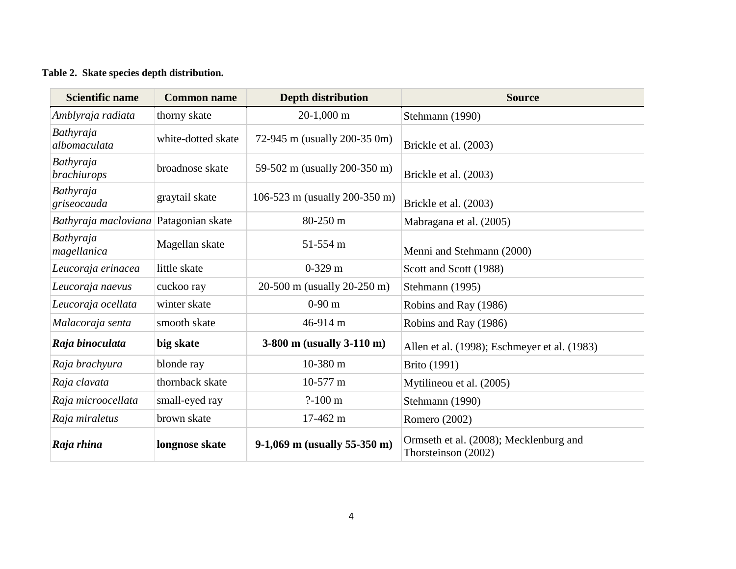## **Table 2. Skate species depth distribution.**

<span id="page-3-0"></span>

| <b>Scientific name</b>                | <b>Common name</b> | <b>Depth distribution</b>      | <b>Source</b>                                                 |  |  |
|---------------------------------------|--------------------|--------------------------------|---------------------------------------------------------------|--|--|
| Amblyraja radiata                     | thorny skate       | $20-1,000$ m                   | Stehmann (1990)                                               |  |  |
| Bathyraja<br>albomaculata             | white-dotted skate | 72-945 m (usually 200-35 0m)   | Brickle et al. (2003)                                         |  |  |
| Bathyraja<br>brachiurops              | broadnose skate    | 59-502 m (usually 200-350 m)   | Brickle et al. (2003)                                         |  |  |
| Bathyraja<br>griseocauda              | graytail skate     | 106-523 m (usually 200-350 m)  | Brickle et al. (2003)                                         |  |  |
| Bathyraja macloviana Patagonian skate |                    | 80-250 m                       | Mabragana et al. (2005)                                       |  |  |
| Bathyraja<br>magellanica              | Magellan skate     | 51-554 m                       | Menni and Stehmann (2000)                                     |  |  |
| Leucoraja erinacea                    | little skate       | $0-329$ m                      | Scott and Scott (1988)                                        |  |  |
| Leucoraja naevus                      | cuckoo ray         | 20-500 m (usually 20-250 m)    | Stehmann (1995)                                               |  |  |
| Leucoraja ocellata                    | winter skate       | $0-90$ m                       | Robins and Ray (1986)                                         |  |  |
| Malacoraja senta                      | smooth skate       | 46-914 m                       | Robins and Ray (1986)                                         |  |  |
| Raja binoculata                       | big skate          | 3-800 m (usually 3-110 m)      | Allen et al. (1998); Eschmeyer et al. (1983)                  |  |  |
| Raja brachyura                        | blonde ray         | 10-380 m                       | <b>Brito</b> (1991)                                           |  |  |
| Raja clavata                          | thornback skate    | 10-577 m                       | Mytilineou et al. (2005)                                      |  |  |
| Raja microocellata                    | small-eyed ray     | $? - 100 \text{ m}$            | Stehmann (1990)                                               |  |  |
| Raja miraletus                        | brown skate        | 17-462 m                       | Romero (2002)                                                 |  |  |
| Raja rhina                            | longnose skate     | $9-1,069$ m (usually 55-350 m) | Ormseth et al. (2008); Mecklenburg and<br>Thorsteinson (2002) |  |  |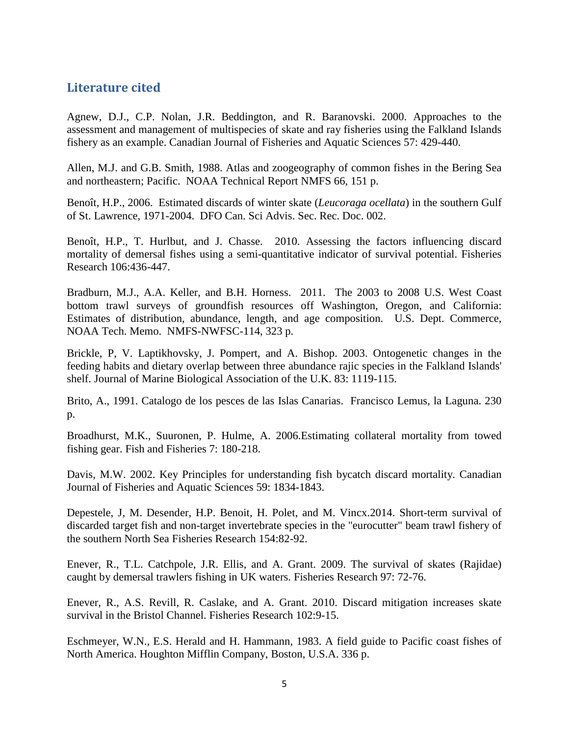## **Literature cited**

Agnew, D.J., C.P. Nolan, J.R. Beddington, and R. Baranovski. 2000. Approaches to the assessment and management of multispecies of skate and ray fisheries using the Falkland Islands fishery as an example. Canadian Journal of Fisheries and Aquatic Sciences 57: 429-440.

Allen, M.J. and G.B. Smith, 1988. Atlas and zoogeography of common fishes in the Bering Sea and northeastern; Pacific. NOAA Technical Report NMFS 66, 151 p.

Benoît, H.P., 2006. Estimated discards of winter skate (*Leucoraga ocellata*) in the southern Gulf of St. Lawrence, 1971-2004. DFO Can. Sci Advis. Sec. Rec. Doc. 002.

Benoît, H.P., T. Hurlbut, and J. Chasse. 2010. Assessing the factors influencing discard mortality of demersal fishes using a semi-quantitative indicator of survival potential. Fisheries Research 106:436-447.

Bradburn, M.J., A.A. Keller, and B.H. Horness. 2011. The 2003 to 2008 U.S. West Coast bottom trawl surveys of groundfish resources off Washington, Oregon, and California: Estimates of distribution, abundance, length, and age composition. U.S. Dept. Commerce, NOAA Tech. Memo. NMFS-NWFSC-114, 323 p.

Brickle, P, V. Laptikhovsky, J. Pompert, and A. Bishop. 2003. Ontogenetic changes in the feeding habits and dietary overlap between three abundance rajic species in the Falkland Islands' shelf. Journal of Marine Biological Association of the U.K. 83: 1119-115.

Brito, A., 1991. Catalogo de los pesces de las Islas Canarias. Francisco Lemus, la Laguna. 230 p.

Broadhurst, M.K., Suuronen, P. Hulme, A. 2006.Estimating collateral mortality from towed fishing gear. Fish and Fisheries 7: 180-218.

Davis, M.W. 2002. Key Principles for understanding fish bycatch discard mortality. Canadian Journal of Fisheries and Aquatic Sciences 59: 1834-1843.

Depestele, J, M. Desender, H.P. Benoit, H. Polet, and M. Vincx.2014. Short-term survival of discarded target fish and non-target invertebrate species in the "eurocutter" beam trawl fishery of the southern North Sea Fisheries Research 154:82-92.

Enever, R., T.L. Catchpole, J.R. Ellis, and A. Grant. 2009. The survival of skates (Rajidae) caught by demersal trawlers fishing in UK waters. Fisheries Research 97: 72-76.

Enever, R., A.S. Revill, R. Caslake, and A. Grant. 2010. Discard mitigation increases skate survival in the Bristol Channel. Fisheries Research 102:9-15.

Eschmeyer, W.N., E.S. Herald and H. Hammann, 1983. A field guide to Pacific coast fishes of North America. Houghton Mifflin Company, Boston, U.S.A. 336 p.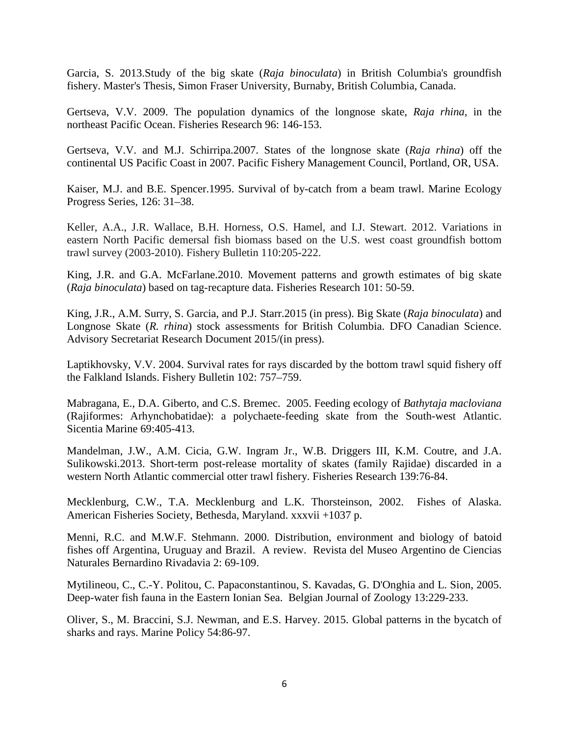Garcia, S. 2013.Study of the big skate (*Raja binoculata*) in British Columbia's groundfish fishery. Master's Thesis, Simon Fraser University, Burnaby, British Columbia, Canada.

Gertseva, V.V. 2009. The population dynamics of the longnose skate, *Raja rhina*, in the northeast Pacific Ocean. Fisheries Research 96: 146-153.

Gertseva, V.V. and M.J. Schirripa.2007. States of the longnose skate (*Raja rhina*) off the continental US Pacific Coast in 2007. Pacific Fishery Management Council, Portland, OR, USA.

Kaiser, M.J. and B.E. Spencer.1995. Survival of by-catch from a beam trawl. Marine Ecology Progress Series, 126: 31–38.

Keller, A.A., J.R. Wallace, B.H. Horness, O.S. Hamel, and I.J. Stewart. 2012. Variations in eastern North Pacific demersal fish biomass based on the U.S. west coast groundfish bottom trawl survey (2003-2010). Fishery Bulletin 110:205-222.

King, J.R. and G.A. McFarlane.2010. Movement patterns and growth estimates of big skate (*Raja binoculata*) based on tag-recapture data. Fisheries Research 101: 50-59.

King, J.R., A.M. Surry, S. Garcia, and P.J. Starr.2015 (in press). Big Skate (*Raja binoculata*) and Longnose Skate (*R. rhina*) stock assessments for British Columbia. DFO Canadian Science. Advisory Secretariat Research Document 2015/(in press).

Laptikhovsky, V.V. 2004. Survival rates for rays discarded by the bottom trawl squid fishery off the Falkland Islands. Fishery Bulletin 102: 757–759.

Mabragana, E., D.A. Giberto, and C.S. Bremec. 2005. Feeding ecology of *Bathytaja macloviana* (Rajiformes: Arhynchobatidae): a polychaete-feeding skate from the South-west Atlantic. Sicentia Marine 69:405-413.

Mandelman, J.W., A.M. Cicia, G.W. Ingram Jr., W.B. Driggers III, K.M. Coutre, and J.A. Sulikowski.2013. Short-term post-release mortality of skates (family Rajidae) discarded in a western North Atlantic commercial otter trawl fishery. Fisheries Research 139:76-84.

Mecklenburg, C.W., T.A. Mecklenburg and L.K. Thorsteinson, 2002. Fishes of Alaska. American Fisheries Society, Bethesda, Maryland. xxxvii +1037 p.

Menni, R.C. and M.W.F. Stehmann. 2000. Distribution, environment and biology of batoid fishes off Argentina, Uruguay and Brazil. A review. Revista del Museo Argentino de Ciencias Naturales Bernardino Rivadavia 2: 69-109.

Mytilineou, C., C.-Y. Politou, C. Papaconstantinou, S. Kavadas, G. D'Onghia and L. Sion, 2005. Deep-water fish fauna in the Eastern Ionian Sea. Belgian Journal of Zoology 13:229-233.

Oliver, S., M. Braccini, S.J. Newman, and E.S. Harvey. 2015. Global patterns in the bycatch of sharks and rays. Marine Policy 54:86-97.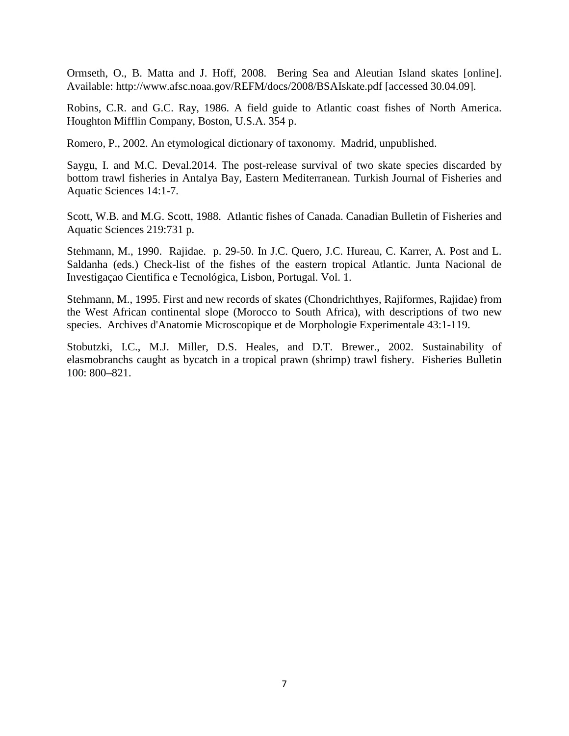Ormseth, O., B. Matta and J. Hoff, 2008. Bering Sea and Aleutian Island skates [online]. Available: http://www.afsc.noaa.gov/REFM/docs/2008/BSAIskate.pdf [accessed 30.04.09].

Robins, C.R. and G.C. Ray, 1986. A field guide to Atlantic coast fishes of North America. Houghton Mifflin Company, Boston, U.S.A. 354 p.

Romero, P., 2002. An etymological dictionary of taxonomy. Madrid, unpublished.

Saygu, I. and M.C. Deval.2014. The post-release survival of two skate species discarded by bottom trawl fisheries in Antalya Bay, Eastern Mediterranean. Turkish Journal of Fisheries and Aquatic Sciences 14:1-7.

Scott, W.B. and M.G. Scott, 1988. Atlantic fishes of Canada. Canadian Bulletin of Fisheries and Aquatic Sciences 219:731 p.

Stehmann, M., 1990. Rajidae. p. 29-50. In J.C. Quero, J.C. Hureau, C. Karrer, A. Post and L. Saldanha (eds.) Check-list of the fishes of the eastern tropical Atlantic. Junta Nacional de Investigaçao Cientifica e Tecnológica, Lisbon, Portugal. Vol. 1.

Stehmann, M., 1995. First and new records of skates (Chondrichthyes, Rajiformes, Rajidae) from the West African continental slope (Morocco to South Africa), with descriptions of two new species. Archives d'Anatomie Microscopique et de Morphologie Experimentale 43:1-119.

Stobutzki, I.C., M.J. Miller, D.S. Heales, and D.T. Brewer., 2002. Sustainability of elasmobranchs caught as bycatch in a tropical prawn (shrimp) trawl fishery. Fisheries Bulletin 100: 800–821.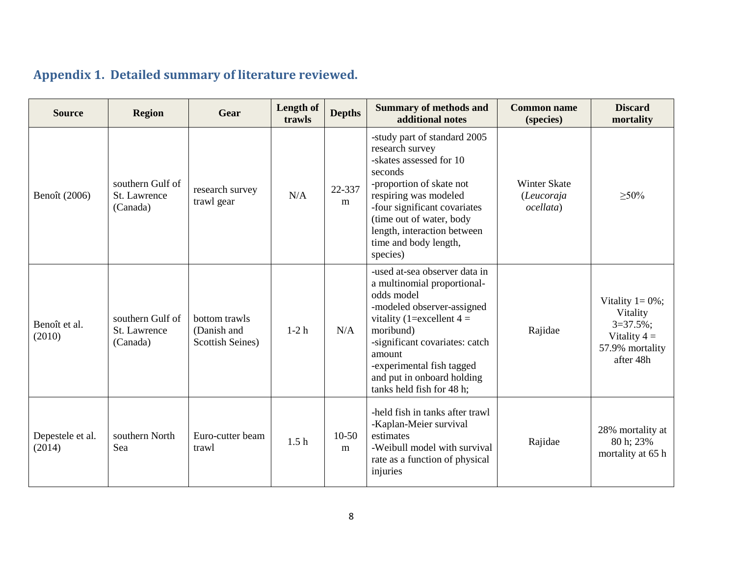# **Appendix 1. Detailed summary of literature reviewed.**

| <b>Source</b>              | <b>Region</b>                                | Gear                                                    | Length of<br>trawls | <b>Depths</b> | <b>Summary of methods and</b><br>additional notes                                                                                                                                                                                                                                        | <b>Common name</b><br>(species)                | <b>Discard</b><br>mortality                                                                        |
|----------------------------|----------------------------------------------|---------------------------------------------------------|---------------------|---------------|------------------------------------------------------------------------------------------------------------------------------------------------------------------------------------------------------------------------------------------------------------------------------------------|------------------------------------------------|----------------------------------------------------------------------------------------------------|
| Benoît (2006)              | southern Gulf of<br>St. Lawrence<br>(Canada) | research survey<br>trawl gear                           | N/A                 | 22-337<br>m   | -study part of standard 2005<br>research survey<br>-skates assessed for 10<br>seconds<br>-proportion of skate not<br>respiring was modeled<br>-four significant covariates<br>(time out of water, body<br>length, interaction between<br>time and body length,<br>species)               | <b>Winter Skate</b><br>(Leucoraja<br>ocellata) | $\geq 50\%$                                                                                        |
| Benoît et al.<br>(2010)    | southern Gulf of<br>St. Lawrence<br>(Canada) | bottom trawls<br>(Danish and<br><b>Scottish Seines)</b> | $1-2h$              | N/A           | -used at-sea observer data in<br>a multinomial proportional-<br>odds model<br>-modeled observer-assigned<br>vitality (1=excellent $4 =$<br>moribund)<br>-significant covariates: catch<br>amount<br>-experimental fish tagged<br>and put in onboard holding<br>tanks held fish for 48 h; | Rajidae                                        | Vitality $1 = 0\%$ ;<br>Vitality<br>$3=37.5\%$ ;<br>Vitality $4 =$<br>57.9% mortality<br>after 48h |
| Depestele et al.<br>(2014) | southern North<br>Sea                        | Euro-cutter beam<br>trawl                               | 1.5 <sub>h</sub>    | $10-50$<br>m  | -held fish in tanks after trawl<br>-Kaplan-Meier survival<br>estimates<br>-Weibull model with survival<br>rate as a function of physical<br>injuries                                                                                                                                     | Rajidae                                        | 28% mortality at<br>80 h; 23%<br>mortality at 65 h                                                 |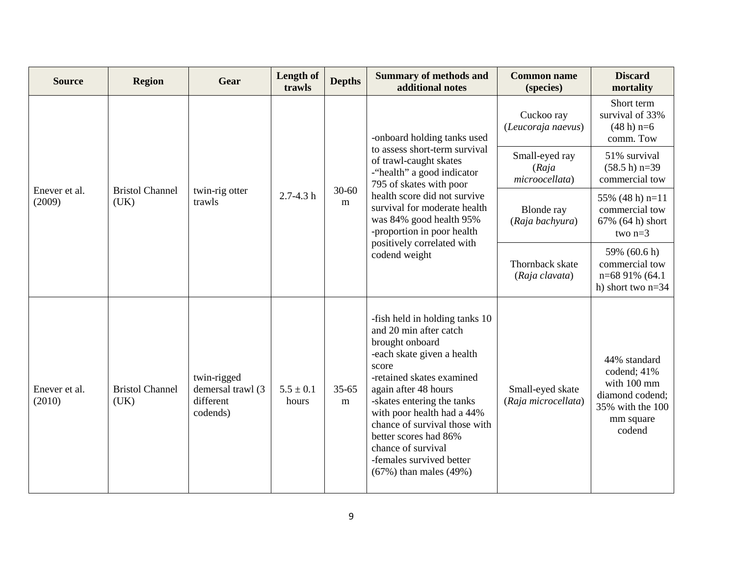| <b>Source</b>           | <b>Region</b>                  | Gear                                                      | Length of<br>trawls    | <b>Depths</b>          | <b>Summary of methods and</b><br>additional notes                                                                                                                                                                                                                                                                                                                             | <b>Common name</b><br>(species)           | <b>Discard</b><br>mortality                                                                              |
|-------------------------|--------------------------------|-----------------------------------------------------------|------------------------|------------------------|-------------------------------------------------------------------------------------------------------------------------------------------------------------------------------------------------------------------------------------------------------------------------------------------------------------------------------------------------------------------------------|-------------------------------------------|----------------------------------------------------------------------------------------------------------|
| Enever et al.<br>(2009) | <b>Bristol Channel</b><br>(UK) | twin-rig otter<br>trawls                                  | $2.7 - 4.3 h$          | $30 - 60$<br>m         | -onboard holding tanks used<br>to assess short-term survival<br>of trawl-caught skates<br>-"health" a good indicator<br>795 of skates with poor<br>health score did not survive<br>survival for moderate health<br>was 84% good health 95%<br>-proportion in poor health<br>positively correlated with<br>codend weight                                                       | Cuckoo ray<br>(Leucoraja naevus)          | Short term<br>survival of 33%<br>$(48 h) n=6$<br>comm. Tow                                               |
|                         |                                |                                                           |                        |                        |                                                                                                                                                                                                                                                                                                                                                                               | Small-eyed ray<br>(Raja<br>microocellata) | 51% survival<br>$(58.5 h) n=39$<br>commercial tow                                                        |
|                         |                                |                                                           |                        |                        |                                                                                                                                                                                                                                                                                                                                                                               | <b>Blonde</b> ray<br>(Raja bachyura)      | 55% (48 h) $n=11$<br>commercial tow<br>67% (64 h) short<br>two $n=3$                                     |
|                         |                                |                                                           |                        |                        |                                                                                                                                                                                                                                                                                                                                                                               | Thornback skate<br>(Raja clavata)         | 59% (60.6 h)<br>commercial tow<br>n=68 91% (64.1)<br>h) short two $n=34$                                 |
| Enever et al.<br>(2010) | <b>Bristol Channel</b><br>(UK) | twin-rigged<br>demersal trawl (3<br>different<br>codends) | $5.5 \pm 0.1$<br>hours | $35 - 65$<br>${\bf m}$ | -fish held in holding tanks 10<br>and 20 min after catch<br>brought onboard<br>-each skate given a health<br>score<br>-retained skates examined<br>again after 48 hours<br>-skates entering the tanks<br>with poor health had a 44%<br>chance of survival those with<br>better scores had 86%<br>chance of survival<br>-females survived better<br>$(67%)$ than males $(49%)$ | Small-eyed skate<br>(Raja microcellata)   | 44% standard<br>codend; 41%<br>with 100 mm<br>diamond codend;<br>35% with the 100<br>mm square<br>codend |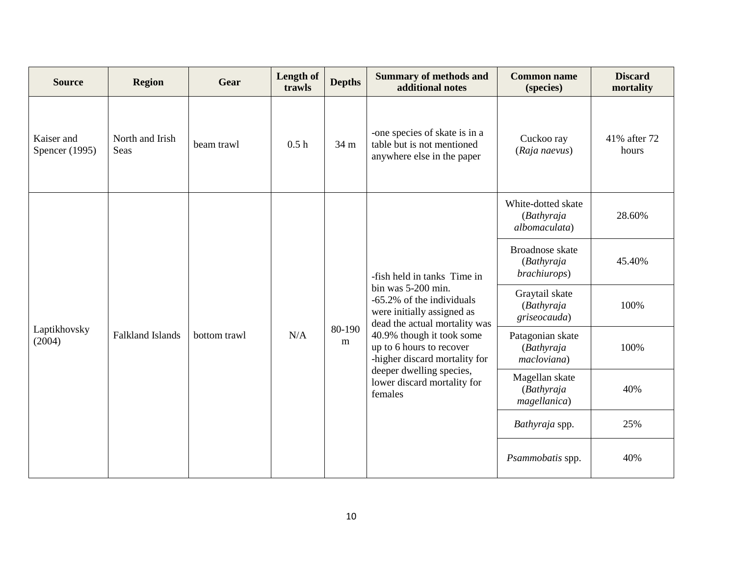| <b>Source</b>                | <b>Region</b>                  | Gear         | Length of<br>trawls | <b>Depths</b> | <b>Summary of methods and</b><br>additional notes                                                                                                                                                                                                                                                             | <b>Common name</b><br>(species)                       | <b>Discard</b><br>mortality |
|------------------------------|--------------------------------|--------------|---------------------|---------------|---------------------------------------------------------------------------------------------------------------------------------------------------------------------------------------------------------------------------------------------------------------------------------------------------------------|-------------------------------------------------------|-----------------------------|
| Kaiser and<br>Spencer (1995) | North and Irish<br><b>Seas</b> | beam trawl   | 0.5h                | 34 m          | -one species of skate is in a<br>table but is not mentioned<br>anywhere else in the paper                                                                                                                                                                                                                     | Cuckoo ray<br>(Raja naevus)                           | 41% after 72<br>hours       |
| Laptikhovsky<br>(2004)       |                                | bottom trawl | N/A                 | 80-190<br>m   | -fish held in tanks Time in<br>bin was 5-200 min.<br>-65.2% of the individuals<br>were initially assigned as<br>dead the actual mortality was<br>40.9% though it took some<br>up to 6 hours to recover<br>-higher discard mortality for<br>deeper dwelling species,<br>lower discard mortality for<br>females | White-dotted skate<br>(Bathyraja<br>albomaculata)     | 28.60%                      |
|                              | <b>Falkland Islands</b>        |              |                     |               |                                                                                                                                                                                                                                                                                                               | Broadnose skate<br>(Bathyraja<br><i>brachiurops</i> ) | 45.40%                      |
|                              |                                |              |                     |               |                                                                                                                                                                                                                                                                                                               | Graytail skate<br>(Bathyraja<br>griseocauda)          | 100%                        |
|                              |                                |              |                     |               |                                                                                                                                                                                                                                                                                                               | Patagonian skate<br>(Bathyraja<br>macloviana)         | 100%                        |
|                              |                                |              |                     |               |                                                                                                                                                                                                                                                                                                               | Magellan skate<br>(Bathyraja<br>magellanica)          | 40%                         |
|                              |                                |              |                     |               |                                                                                                                                                                                                                                                                                                               | Bathyraja spp.                                        | 25%                         |
|                              |                                |              |                     |               |                                                                                                                                                                                                                                                                                                               | Psammobatis spp.                                      | 40%                         |